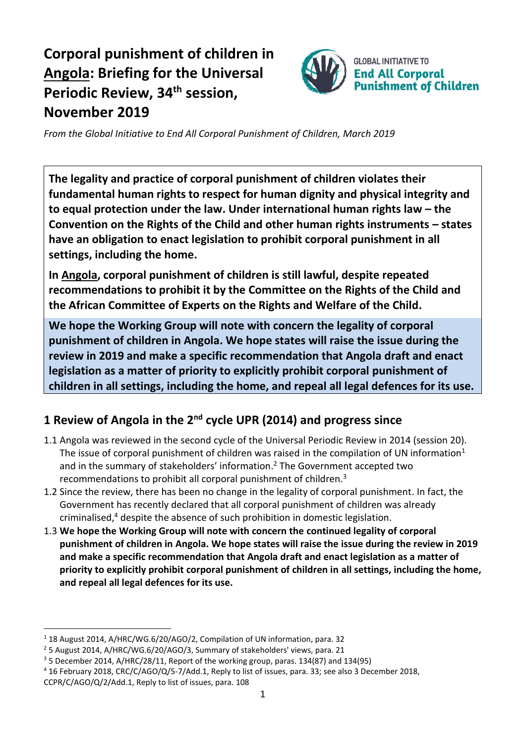## **Corporal punishment of children in Angola: Briefing for the Universal Periodic Review, 34 th session, November 2019**



*From the Global Initiative to End All Corporal Punishment of Children, March 2019*

**The legality and practice of corporal punishment of children violates their fundamental human rights to respect for human dignity and physical integrity and to equal protection under the law. Under international human rights law – the Convention on the Rights of the Child and other human rights instruments – states have an obligation to enact legislation to prohibit corporal punishment in all settings, including the home.**

**In Angola, corporal punishment of children is still lawful, despite repeated recommendations to prohibit it by the Committee on the Rights of the Child and the African Committee of Experts on the Rights and Welfare of the Child.**

**We hope the Working Group will note with concern the legality of corporal punishment of children in Angola. We hope states will raise the issue during the review in 2019 and make a specific recommendation that Angola draft and enact legislation as a matter of priority to explicitly prohibit corporal punishment of children in all settings, including the home, and repeal all legal defences for its use.**

## **1 Review of Angola in the 2nd cycle UPR (2014) and progress since**

- 1.1 Angola was reviewed in the second cycle of the Universal Periodic Review in 2014 (session 20). The issue of corporal punishment of children was raised in the compilation of UN information<sup>1</sup> and in the summary of stakeholders' information. <sup>2</sup> The Government accepted two recommendations to prohibit all corporal punishment of children.<sup>3</sup>
- 1.2 Since the review, there has been no change in the legality of corporal punishment. In fact, the Government has recently declared that all corporal punishment of children was already criminalised, $4$  despite the absence of such prohibition in domestic legislation.
- 1.3 **We hope the Working Group will note with concern the continued legality of corporal punishment of children in Angola. We hope states will raise the issue during the review in 2019 and make a specific recommendation that Angola draft and enact legislation as a matter of priority to explicitly prohibit corporal punishment of children in all settings, including the home, and repeal all legal defences for its use.**

<sup>1</sup> 18 August 2014, A/HRC/WG.6/20/AGO/2, Compilation of UN information, para. 32

<sup>2</sup> 5 August 2014, A/HRC/WG.6/20/AGO/3, Summary of stakeholders' views, para. 21

<sup>3</sup> 5 December 2014, A/HRC/28/11, Report of the working group, paras. 134(87) and 134(95)

<sup>4</sup> 16 February 2018, CRC/C/AGO/Q/5-7/Add.1, Reply to list of issues, para. 33; see also 3 December 2018,

CCPR/C/AGO/Q/2/Add.1, Reply to list of issues, para. 108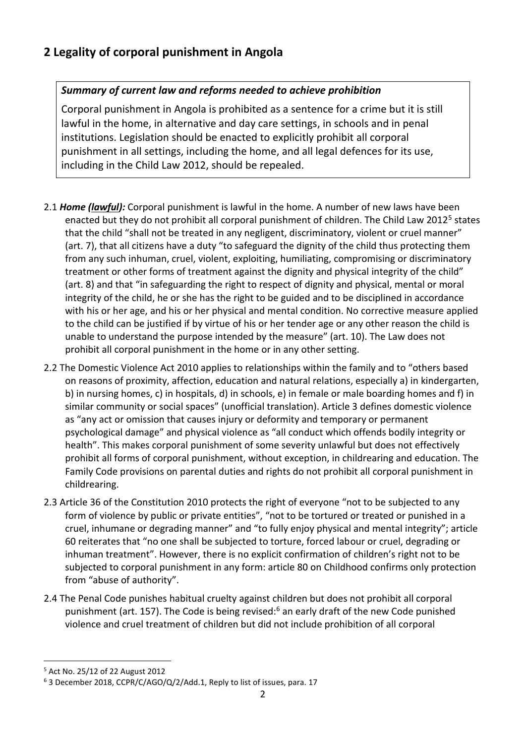## *Summary of current law and reforms needed to achieve prohibition*

Corporal punishment in Angola is prohibited as a sentence for a crime but it is still lawful in the home, in alternative and day care settings, in schools and in penal institutions. Legislation should be enacted to explicitly prohibit all corporal punishment in all settings, including the home, and all legal defences for its use, including in the Child Law 2012, should be repealed.

- 2.1 *Home (lawful):* Corporal punishment is lawful in the home. A number of new laws have been enacted but they do not prohibit all corporal punishment of children. The Child Law 2012<sup>5</sup> states that the child "shall not be treated in any negligent, discriminatory, violent or cruel manner" (art. 7), that all citizens have a duty "to safeguard the dignity of the child thus protecting them from any such inhuman, cruel, violent, exploiting, humiliating, compromising or discriminatory treatment or other forms of treatment against the dignity and physical integrity of the child" (art. 8) and that "in safeguarding the right to respect of dignity and physical, mental or moral integrity of the child, he or she has the right to be guided and to be disciplined in accordance with his or her age, and his or her physical and mental condition. No corrective measure applied to the child can be justified if by virtue of his or her tender age or any other reason the child is unable to understand the purpose intended by the measure" (art. 10). The Law does not prohibit all corporal punishment in the home or in any other setting.
- 2.2 The Domestic Violence Act 2010 applies to relationships within the family and to "others based on reasons of proximity, affection, education and natural relations, especially a) in kindergarten, b) in nursing homes, c) in hospitals, d) in schools, e) in female or male boarding homes and f) in similar community or social spaces" (unofficial translation). Article 3 defines domestic violence as "any act or omission that causes injury or deformity and temporary or permanent psychological damage" and physical violence as "all conduct which offends bodily integrity or health". This makes corporal punishment of some severity unlawful but does not effectively prohibit all forms of corporal punishment, without exception, in childrearing and education. The Family Code provisions on parental duties and rights do not prohibit all corporal punishment in childrearing.
- 2.3 Article 36 of the Constitution 2010 protects the right of everyone "not to be subjected to any form of violence by public or private entities", "not to be tortured or treated or punished in a cruel, inhumane or degrading manner" and "to fully enjoy physical and mental integrity"; article 60 reiterates that "no one shall be subjected to torture, forced labour or cruel, degrading or inhuman treatment". However, there is no explicit confirmation of children's right not to be subjected to corporal punishment in any form: article 80 on Childhood confirms only protection from "abuse of authority".
- 2.4 The Penal Code punishes habitual cruelty against children but does not prohibit all corporal punishment (art. 157). The Code is being revised:<sup>6</sup> an early draft of the new Code punished violence and cruel treatment of children but did not include prohibition of all corporal

<sup>5</sup> Act No. 25/12 of 22 August 2012

<sup>6</sup> 3 December 2018, CCPR/C/AGO/Q/2/Add.1, Reply to list of issues, para. 17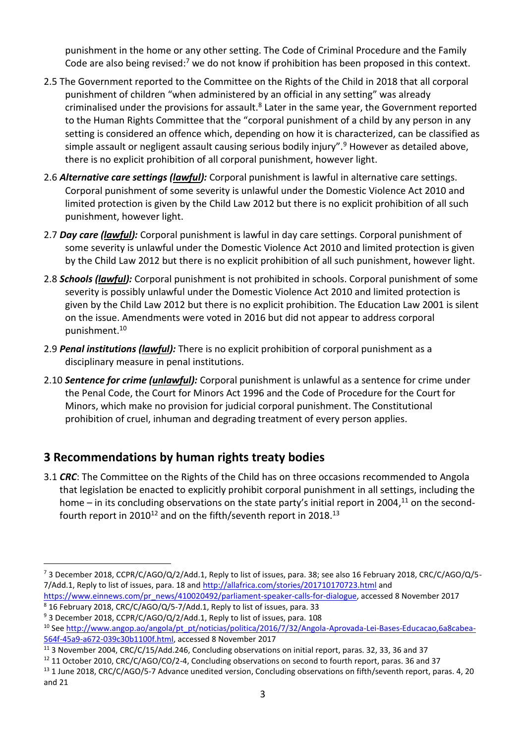punishment in the home or any other setting. The Code of Criminal Procedure and the Family Code are also being revised: $7$  we do not know if prohibition has been proposed in this context.

- 2.5 The Government reported to the Committee on the Rights of the Child in 2018 that all corporal punishment of children "when administered by an official in any setting" was already criminalised under the provisions for assault.<sup>8</sup> Later in the same year, the Government reported to the Human Rights Committee that the "corporal punishment of a child by any person in any setting is considered an offence which, depending on how it is characterized, can be classified as simple assault or negligent assault causing serious bodily injury".<sup>9</sup> However as detailed above, there is no explicit prohibition of all corporal punishment, however light.
- 2.6 *Alternative care settings (lawful):* Corporal punishment is lawful in alternative care settings. Corporal punishment of some severity is unlawful under the Domestic Violence Act 2010 and limited protection is given by the Child Law 2012 but there is no explicit prohibition of all such punishment, however light.
- 2.7 *Day care (lawful):* Corporal punishment is lawful in day care settings. Corporal punishment of some severity is unlawful under the Domestic Violence Act 2010 and limited protection is given by the Child Law 2012 but there is no explicit prohibition of all such punishment, however light.
- 2.8 *Schools (lawful):* Corporal punishment is not prohibited in schools. Corporal punishment of some severity is possibly unlawful under the Domestic Violence Act 2010 and limited protection is given by the Child Law 2012 but there is no explicit prohibition. The Education Law 2001 is silent on the issue. Amendments were voted in 2016 but did not appear to address corporal punishment.<sup>10</sup>
- 2.9 *Penal institutions (lawful):* There is no explicit prohibition of corporal punishment as a disciplinary measure in penal institutions.
- 2.10 *Sentence for crime (unlawful):* Corporal punishment is unlawful as a sentence for crime under the Penal Code, the Court for Minors Act 1996 and the Code of Procedure for the Court for Minors, which make no provision for judicial corporal punishment. The Constitutional prohibition of cruel, inhuman and degrading treatment of every person applies.

## **3 Recommendations by human rights treaty bodies**

3.1 *CRC*: The Committee on the Rights of the Child has on three occasions recommended to Angola that legislation be enacted to explicitly prohibit corporal punishment in all settings, including the home – in its concluding observations on the state party's initial report in 2004,<sup>11</sup> on the secondfourth report in 2010<sup>12</sup> and on the fifth/seventh report in 2018.<sup>13</sup>

<sup>7</sup> 3 December 2018, CCPR/C/AGO/Q/2/Add.1, Reply to list of issues, para. 38; see also 16 February 2018, CRC/C/AGO/Q/5- 7/Add.1, Reply to list of issues, para. 18 an[d http://allafrica.com/stories/201710170723.html](http://allafrica.com/stories/201710170723.html) and

[https://www.einnews.com/pr\\_news/410020492/parliament-speaker-calls-for-dialogue,](https://www.einnews.com/pr_news/410020492/parliament-speaker-calls-for-dialogue) accessed 8 November 2017 <sup>8</sup> 16 February 2018, CRC/C/AGO/Q/5-7/Add.1, Reply to list of issues, para. 33

<sup>&</sup>lt;sup>9</sup> 3 December 2018, CCPR/C/AGO/Q/2/Add.1, Reply to list of issues, para. 108

<sup>&</sup>lt;sup>10</sup> See [http://www.angop.ao/angola/pt\\_pt/noticias/politica/2016/7/32/Angola-Aprovada-Lei-Bases-Educacao,6a8cabea-](http://www.angop.ao/angola/pt_pt/noticias/politica/2016/7/32/Angola-Aprovada-Lei-Bases-Educacao,6a8cabea-564f-45a9-a672-039c30b1100f.html)[564f-45a9-a672-039c30b1100f.html,](http://www.angop.ao/angola/pt_pt/noticias/politica/2016/7/32/Angola-Aprovada-Lei-Bases-Educacao,6a8cabea-564f-45a9-a672-039c30b1100f.html) accessed 8 November 2017

<sup>11</sup> 3 November 2004, CRC/C/15/Add.246, Concluding observations on initial report, paras. 32, 33, 36 and 37

<sup>&</sup>lt;sup>12</sup> 11 October 2010, CRC/C/AGO/CO/2-4, Concluding observations on second to fourth report, paras. 36 and 37

<sup>&</sup>lt;sup>13</sup> 1 June 2018, CRC/C/AGO/5-7 Advance unedited version, Concluding observations on fifth/seventh report, paras. 4, 20 and 21